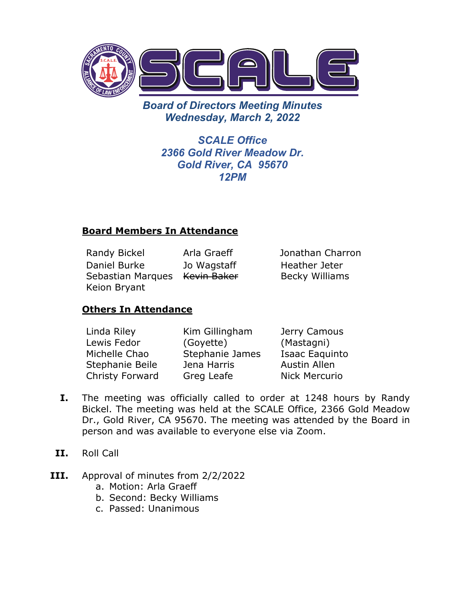

*Board of Directors Meeting Minutes Wednesday, March 2, 2022* 

> *SCALE Office 2366 Gold River Meadow Dr. Gold River, CA 95670 12PM*

# **Board Members In Attendance**

Randy Bickel Arla Graeff Jonathan Charron Daniel Burke Sebastian Marques Ke<del>vin Baker</del> Keion Bryant Jo Wagstaff

Heather Jeter Becky Williams

# **Others In Attendance**

| Linda Riley     | Kim Gillingham  | Jerry Camous         |
|-----------------|-----------------|----------------------|
| Lewis Fedor     | (Goyette)       | (Mastagni)           |
| Michelle Chao   | Stephanie James | Isaac Eaquinto       |
| Stephanie Beile | Jena Harris     | <b>Austin Allen</b>  |
| Christy Forward | Greg Leafe      | <b>Nick Mercurio</b> |

- **I.** The meeting was officially called to order at 1248 hours by Randy Bickel. The meeting was held at the SCALE Office, 2366 Gold Meadow Dr., Gold River, CA 95670. The meeting was attended by the Board in person and was available to everyone else via Zoom.
- **II.** Roll Call
- **III.** Approval of minutes from 2/2/2022
	- a. Motion: Arla Graeff
	- b. Second: Becky Williams
	- c. Passed: Unanimous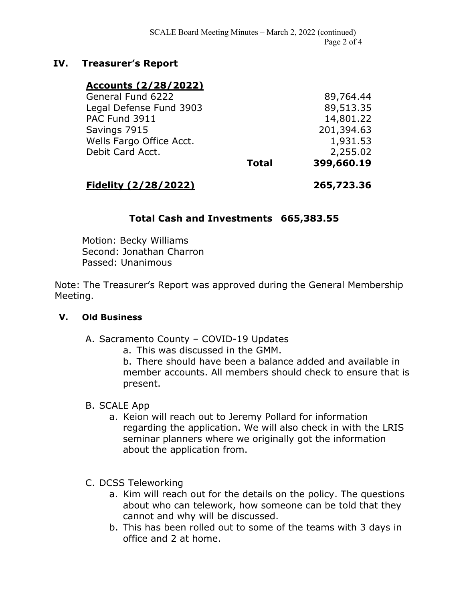# **IV. Treasurer's Report**

### **Accounts (2/28/2022)**

| <b>Total</b>            | 399,660.19 |
|-------------------------|------------|
|                         | 2,255.02   |
|                         | 1,931.53   |
|                         | 201,394.63 |
|                         | 14,801.22  |
| Legal Defense Fund 3903 |            |
|                         | 89,764.44  |
|                         |            |

### **Fidelity (2/28/2022) 265,723.36**

# **Total Cash and Investments 665,383.55**

Motion: Becky Williams Second: Jonathan Charron Passed: Unanimous

Note: The Treasurer's Report was approved during the General Membership Meeting.

#### **V. Old Business**

- A. Sacramento County COVID-19 Updates
	- a. This was discussed in the GMM.

b. There should have been a balance added and available in member accounts. All members should check to ensure that is present.

#### B. SCALE App

- a. Keion will reach out to Jeremy Pollard for information regarding the application. We will also check in with the LRIS seminar planners where we originally got the information about the application from.
- C. DCSS Teleworking
	- a. Kim will reach out for the details on the policy. The questions about who can telework, how someone can be told that they cannot and why will be discussed.
	- b. This has been rolled out to some of the teams with 3 days in office and 2 at home.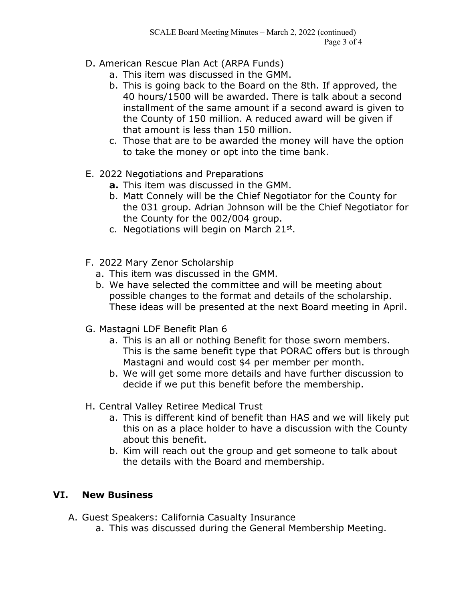- D. American Rescue Plan Act (ARPA Funds)
	- a. This item was discussed in the GMM.
	- b. This is going back to the Board on the 8th. If approved, the 40 hours/1500 will be awarded. There is talk about a second installment of the same amount if a second award is given to the County of 150 million. A reduced award will be given if that amount is less than 150 million.
	- c. Those that are to be awarded the money will have the option to take the money or opt into the time bank.
- E. 2022 Negotiations and Preparations
	- **a.** This item was discussed in the GMM.
	- b. Matt Connely will be the Chief Negotiator for the County for the 031 group. Adrian Johnson will be the Chief Negotiator for the County for the 002/004 group.
	- c. Negotiations will begin on March  $21^{st}$ .
- F. 2022 Mary Zenor Scholarship
	- a. This item was discussed in the GMM.
	- b. We have selected the committee and will be meeting about possible changes to the format and details of the scholarship. These ideas will be presented at the next Board meeting in April.
- G. Mastagni LDF Benefit Plan 6
	- a. This is an all or nothing Benefit for those sworn members. This is the same benefit type that PORAC offers but is through Mastagni and would cost \$4 per member per month.
	- b. We will get some more details and have further discussion to decide if we put this benefit before the membership.
- H. Central Valley Retiree Medical Trust
	- a. This is different kind of benefit than HAS and we will likely put this on as a place holder to have a discussion with the County about this benefit.
	- b. Kim will reach out the group and get someone to talk about the details with the Board and membership.

# **VI. New Business**

- A. Guest Speakers: California Casualty Insurance
	- a. This was discussed during the General Membership Meeting.